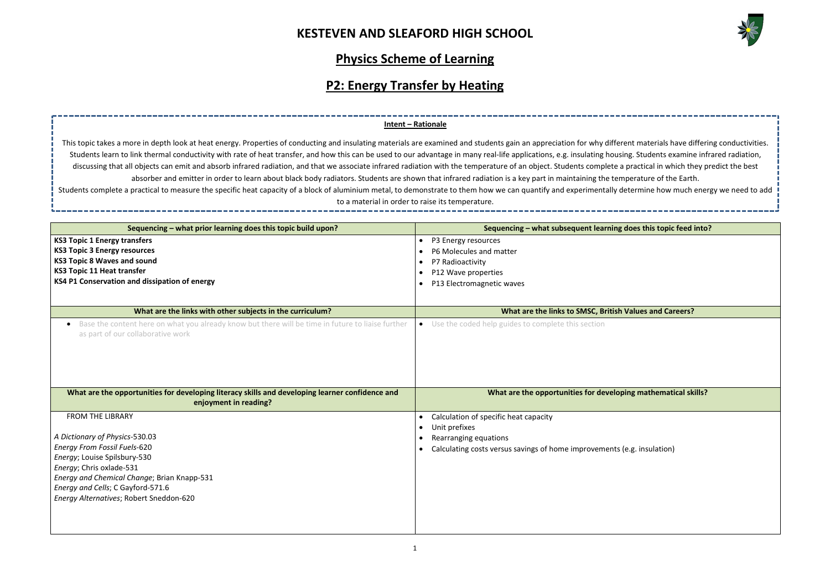### **KESTEVEN AND SLEAFORD HIGH SCHOOL**



## **Physics Scheme of Learning**

# **P2: Energy Transfer by Heating**

**Sequencing – what prior learning does this topic build upon? Sequencing – what subsequent learning does this topic feed into?**

\_\_\_\_\_\_\_\_\_\_\_\_\_\_\_\_\_\_\_\_\_\_\_

**Whathematical skills?** 

| Sequencing – what prior learning does this topic build upon?                                                                                        |           | Sequencing – what subsequent learning does this topic feed              |
|-----------------------------------------------------------------------------------------------------------------------------------------------------|-----------|-------------------------------------------------------------------------|
| <b>KS3 Topic 1 Energy transfers</b>                                                                                                                 | $\bullet$ | P3 Energy resources                                                     |
| <b>KS3 Topic 3 Energy resources</b>                                                                                                                 |           | P6 Molecules and matter                                                 |
| <b>KS3 Topic 8 Waves and sound</b>                                                                                                                  | $\bullet$ | P7 Radioactivity                                                        |
| <b>KS3 Topic 11 Heat transfer</b>                                                                                                                   |           | P12 Wave properties                                                     |
| KS4 P1 Conservation and dissipation of energy                                                                                                       | $\bullet$ | P13 Electromagnetic waves                                               |
|                                                                                                                                                     |           |                                                                         |
| What are the links with other subjects in the curriculum?                                                                                           |           | What are the links to SMSC, British Values and Careers?                 |
| Base the content here on what you already know but there will be time in future to liaise further<br>$\bullet$<br>as part of our collaborative work |           | • Use the coded help guides to complete this section                    |
| What are the opportunities for developing literacy skills and developing learner confidence and<br>enjoyment in reading?                            |           | What are the opportunities for developing mathematical sk               |
| <b>FROM THE LIBRARY</b>                                                                                                                             | $\bullet$ | Calculation of specific heat capacity                                   |
|                                                                                                                                                     |           | Unit prefixes                                                           |
| A Dictionary of Physics-530.03                                                                                                                      |           | Rearranging equations                                                   |
| <b>Energy From Fossil Fuels-620</b>                                                                                                                 |           | Calculating costs versus savings of home improvements (e.g. insulation) |
| Energy; Louise Spilsbury-530                                                                                                                        |           |                                                                         |
| Energy; Chris oxlade-531                                                                                                                            |           |                                                                         |
| Energy and Chemical Change; Brian Knapp-531                                                                                                         |           |                                                                         |
| Energy and Cells; C Gayford-571.6                                                                                                                   |           |                                                                         |
| Energy Alternatives; Robert Sneddon-620                                                                                                             |           |                                                                         |
|                                                                                                                                                     |           |                                                                         |
|                                                                                                                                                     |           |                                                                         |
|                                                                                                                                                     |           |                                                                         |

### **Intent – Rationale**

This topic takes a more in depth look at heat energy. Properties of conducting and insulating materials are examined and students gain an appreciation for why different materials have differing conductivities. Students learn to link thermal conductivity with rate of heat transfer, and how this can be used to our advantage in many real-life applications, e.g. insulating housing. Students examine infrared radiation, discussing that all objects can emit and absorb infrared radiation, and that we associate infrared radiation with the temperature of an object. Students complete a practical in which they predict the best absorber and emitter in order to learn about black body radiators. Students are shown that infrared radiation is a key part in maintaining the temperature of the Earth. Students complete a practical to measure the specific heat capacity of a block of aluminium metal, to demonstrate to them how we can quantify and experimentally determine how much energy we need to add to a material in order to raise its temperature.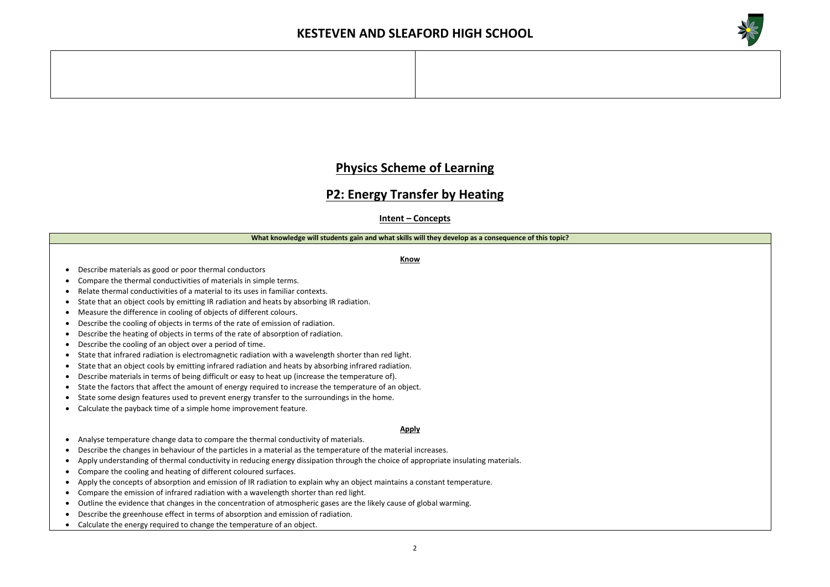



## **Physics Scheme of Learning**

### **P2: Energy Transfer by Heating**

**Intent – Concepts**

#### **What knowledge will students gain and what skills will they develop as a consequence of this topic?**

**Know**

- Describe materials as good or poor thermal conductors
- Compare the thermal conductivities of materials in simple terms.
- Relate thermal conductivities of a material to its uses in familiar contexts.
- State that an object cools by emitting IR radiation and heats by absorbing IR radiation.
- Measure the difference in cooling of objects of different colours.
- Describe the cooling of objects in terms of the rate of emission of radiation.
- Describe the heating of objects in terms of the rate of absorption of radiation.
- Describe the cooling of an object over a period of time.
- State that infrared radiation is electromagnetic radiation with a wavelength shorter than red light.
- State that an object cools by emitting infrared radiation and heats by absorbing infrared radiation.
- Describe materials in terms of being difficult or easy to heat up (increase the temperature of).
- State the factors that affect the amount of energy required to increase the temperature of an object.
- State some design features used to prevent energy transfer to the surroundings in the home.
- Calculate the payback time of a simple home improvement feature.

#### **Apply**

- Analyse temperature change data to compare the thermal conductivity of materials.
- Describe the changes in behaviour of the particles in a material as the temperature of the material increases.
- Apply understanding of thermal conductivity in reducing energy dissipation through the choice of appropriate insulating materials.
- Compare the cooling and heating of different coloured surfaces.
- Apply the concepts of absorption and emission of IR radiation to explain why an object maintains a constant temperature.
- Compare the emission of infrared radiation with a wavelength shorter than red light.
- Outline the evidence that changes in the concentration of atmospheric gases are the likely cause of global warming.
- Describe the greenhouse effect in terms of absorption and emission of radiation.
- Calculate the energy required to change the temperature of an object.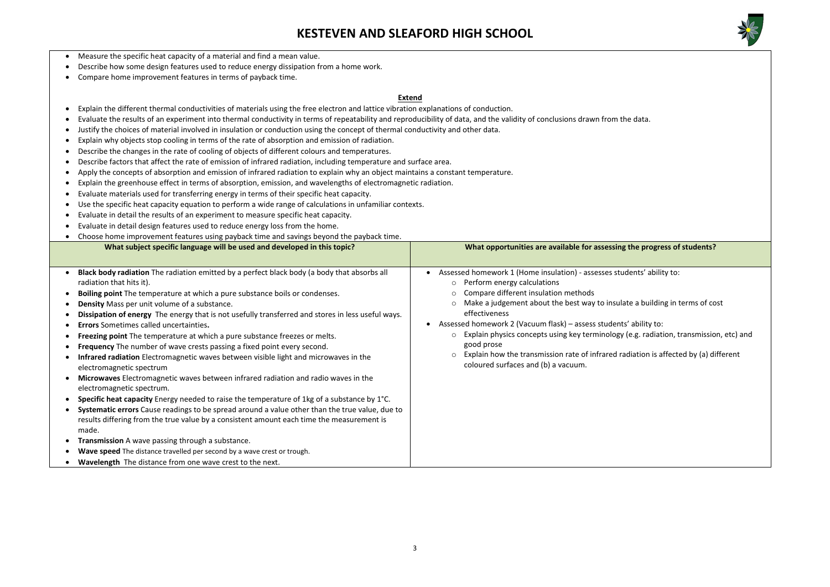## **KESTEVEN AND SLEAFORD HIGH SCHOOL**



### the progress of students?

lents' ability to:

te a building in terms of cost

ability to: e.g. radiation, transmission, etc) and

liation is affected by (a) different

- Measure the specific heat capacity of a material and find a mean value.
- Describe how some design features used to reduce energy dissipation from a home work.
- Compare home improvement features in terms of payback time.

#### **Extend**

- Explain the different thermal conductivities of materials using the free electron and lattice vibration explanations of conduction.
- Evaluate the results of an experiment into thermal conductivity in terms of repeatability and reproducibility of data, and the validity of conclusions drawn from the data.
- Justify the choices of material involved in insulation or conduction using the concept of thermal conductivity and other data.
- Explain why objects stop cooling in terms of the rate of absorption and emission of radiation.
- Describe the changes in the rate of cooling of objects of different colours and temperatures.
- Describe factors that affect the rate of emission of infrared radiation, including temperature and surface area.
- Apply the concepts of absorption and emission of infrared radiation to explain why an object maintains a constant temperature.
- Explain the greenhouse effect in terms of absorption, emission, and wavelengths of electromagnetic radiation.
- Evaluate materials used for transferring energy in terms of their specific heat capacity.
- Use the specific heat capacity equation to perform a wide range of calculations in unfamiliar contexts.
- Evaluate in detail the results of an experiment to measure specific heat capacity.
- Evaluate in detail design features used to reduce energy loss from the home.
- Choose home improvement features using payback time and savings beyond the payback time.

| What subject specific language will be used and developed in this topic?                                                                                                                                                                                                                                                                                                                                                                                                                                                                                                                                                                                                                                                                                                                                                                                                                                                                                                                                                                                                                                                                                                                                                                                                                                              | What opportunities are available for assessing t                                                                                                                                                                                                                                                                                                                                                                                                            |
|-----------------------------------------------------------------------------------------------------------------------------------------------------------------------------------------------------------------------------------------------------------------------------------------------------------------------------------------------------------------------------------------------------------------------------------------------------------------------------------------------------------------------------------------------------------------------------------------------------------------------------------------------------------------------------------------------------------------------------------------------------------------------------------------------------------------------------------------------------------------------------------------------------------------------------------------------------------------------------------------------------------------------------------------------------------------------------------------------------------------------------------------------------------------------------------------------------------------------------------------------------------------------------------------------------------------------|-------------------------------------------------------------------------------------------------------------------------------------------------------------------------------------------------------------------------------------------------------------------------------------------------------------------------------------------------------------------------------------------------------------------------------------------------------------|
| Black body radiation The radiation emitted by a perfect black body (a body that absorbs all<br>radiation that hits it).<br>Boiling point The temperature at which a pure substance boils or condenses.<br>Density Mass per unit volume of a substance.<br>Dissipation of energy The energy that is not usefully transferred and stores in less useful ways.<br><b>Errors</b> Sometimes called uncertainties.<br>Freezing point The temperature at which a pure substance freezes or melts.<br><b>Frequency</b> The number of wave crests passing a fixed point every second.<br>Infrared radiation Electromagnetic waves between visible light and microwaves in the<br>electromagnetic spectrum<br>Microwaves Electromagnetic waves between infrared radiation and radio waves in the<br>electromagnetic spectrum.<br>Specific heat capacity Energy needed to raise the temperature of 1kg of a substance by 1°C.<br>Systematic errors Cause readings to be spread around a value other than the true value, due to<br>results differing from the true value by a consistent amount each time the measurement is<br>made.<br>Transmission A wave passing through a substance.<br>Wave speed The distance travelled per second by a wave crest or trough.<br>Wavelength The distance from one wave crest to the next. | Assessed homework 1 (Home insulation) - assesses stude<br>$\circ$ Perform energy calculations<br>Compare different insulation methods<br>Make a judgement about the best way to insulate<br>effectiveness<br>Assessed homework 2 (Vacuum flask) - assess students'<br>$\circ$ Explain physics concepts using key terminology ( $\circ$<br>good prose<br>Explain how the transmission rate of infrared rad<br>$\circ$<br>coloured surfaces and (b) a vacuum. |